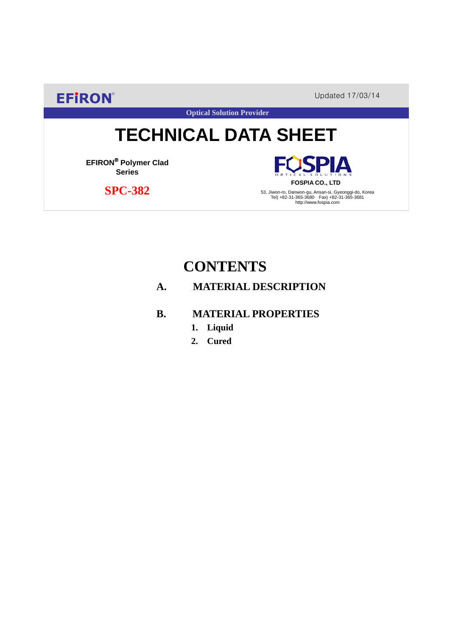**EFIRON®** Updated 17/03/14

**Optical Solution Provider**

# **TECHNICAL DATA SHEET**

**EFIRON**® **Polymer Clad Series**

 **SPC-382**

**SPIA FOSPIA CO., LTD**

53, Jiwon-ro, Danwon-gu, Ansan-si, Gyeonggi-do, Korea Tel) +82-31-365-3680 Fax) +82-31-365-3681 http://www.fospia.com

## **CONTENTS**

### **A. MATERIAL DESCRIPTION**

#### **B. MATERIAL PROPERTIES**

- **1. Liquid**
- **2. Cured**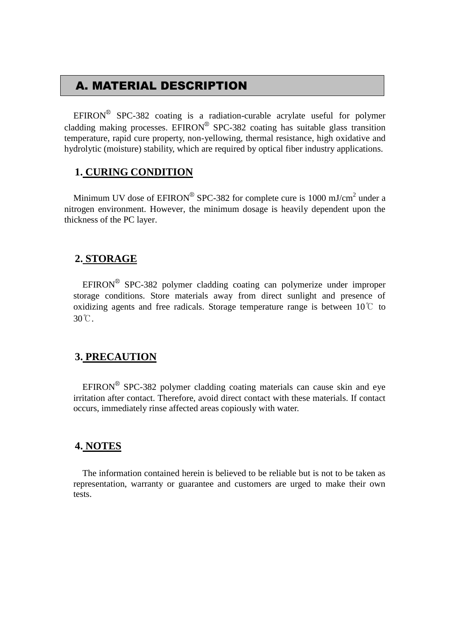## A. MATERIAL DESCRIPTION

EFIRON<sup>®</sup> SPC-382 coating is a radiation-curable acrylate useful for polymer cladding making processes. EFIRON<sup>®</sup> SPC-382 coating has suitable glass transition temperature, rapid cure property, non-yellowing, thermal resistance, high oxidative and hydrolytic (moisture) stability, which are required by optical fiber industry applications.

#### **1. CURING CONDITION**

Minimum UV dose of  $EPIRON^{\circledR}$  SPC-382 for complete cure is 1000 mJ/cm<sup>2</sup> under a nitrogen environment. However, the minimum dosage is heavily dependent upon the thickness of the PC layer.

#### **2. STORAGE**

 $EFINON^{\circledR}$  SPC-382 polymer cladding coating can polymerize under improper storage conditions. Store materials away from direct sunlight and presence of oxidizing agents and free radicals. Storage temperature range is between  $10^{\circ}$  to 30℃.

#### **3. PRECAUTION**

 $EFINON^{\circledR}$  SPC-382 polymer cladding coating materials can cause skin and eye irritation after contact. Therefore, avoid direct contact with these materials. If contact occurs, immediately rinse affected areas copiously with water.

#### **4. NOTES**

The information contained herein is believed to be reliable but is not to be taken as representation, warranty or guarantee and customers are urged to make their own tests.